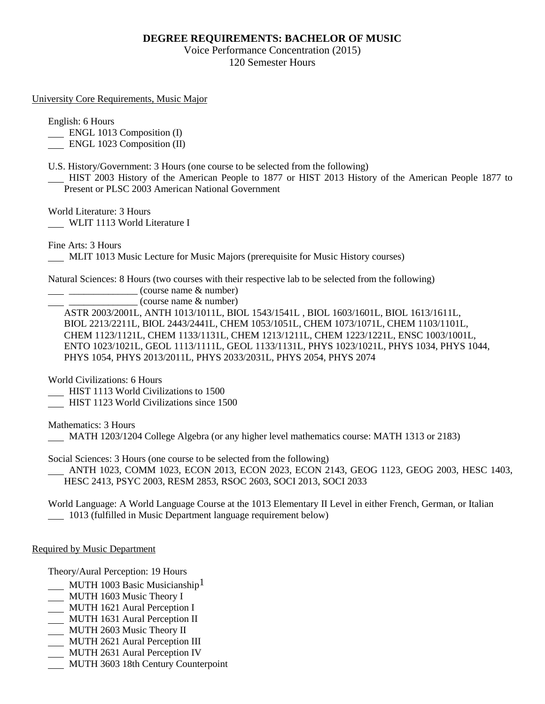## **DEGREE REQUIREMENTS: BACHELOR OF MUSIC**

Voice Performance Concentration (2015) 120 Semester Hours

University Core Requirements, Music Major

English: 6 Hours

ENGL 1013 Composition (I)

ENGL 1023 Composition (II)

U.S. History/Government: 3 Hours (one course to be selected from the following)

 HIST 2003 History of the American People to 1877 or HIST 2013 History of the American People 1877 to Present or PLSC 2003 American National Government

World Literature: 3 Hours

WLIT 1113 World Literature I

Fine Arts: 3 Hours

MLIT 1013 Music Lecture for Music Majors (prerequisite for Music History courses)

Natural Sciences: 8 Hours (two courses with their respective lab to be selected from the following)

\_\_\_\_\_\_\_\_\_\_\_\_\_\_ (course name & number)

\_\_\_\_\_\_\_\_\_\_\_\_\_\_ (course name & number)

ASTR 2003/2001L, ANTH 1013/1011L, BIOL 1543/1541L , BIOL 1603/1601L, BIOL 1613/1611L, BIOL 2213/2211L, BIOL 2443/2441L, CHEM 1053/1051L, CHEM 1073/1071L, CHEM 1103/1101L, CHEM 1123/1121L, CHEM 1133/1131L, CHEM 1213/1211L, CHEM 1223/1221L, ENSC 1003/1001L, ENTO 1023/1021L, GEOL 1113/1111L, GEOL 1133/1131L, PHYS 1023/1021L, PHYS 1034, PHYS 1044, PHYS 1054, PHYS 2013/2011L, PHYS 2033/2031L, PHYS 2054, PHYS 2074

World Civilizations: 6 Hours

HIST 1113 World Civilizations to 1500

HIST 1123 World Civilizations since 1500

Mathematics: 3 Hours

MATH 1203/1204 College Algebra (or any higher level mathematics course: MATH 1313 or 2183)

Social Sciences: 3 Hours (one course to be selected from the following)

 ANTH 1023, COMM 1023, ECON 2013, ECON 2023, ECON 2143, GEOG 1123, GEOG 2003, HESC 1403, HESC 2413, PSYC 2003, RESM 2853, RSOC 2603, SOCI 2013, SOCI 2033

World Language: A World Language Course at the 1013 Elementary II Level in either French, German, or Italian 1013 (fulfilled in Music Department language requirement below)

Required by Music Department

Theory/Aural Perception: 19 Hours

- $\frac{MUTH}{1003}$  Basic Musicianship<sup>1</sup>
- MUTH 1603 Music Theory I
- MUTH 1621 Aural Perception I
- MUTH 1631 Aural Perception II
- MUTH 2603 Music Theory II
- MUTH 2621 Aural Perception III
- MUTH 2631 Aural Perception IV
- **MUTH 3603 18th Century Counterpoint**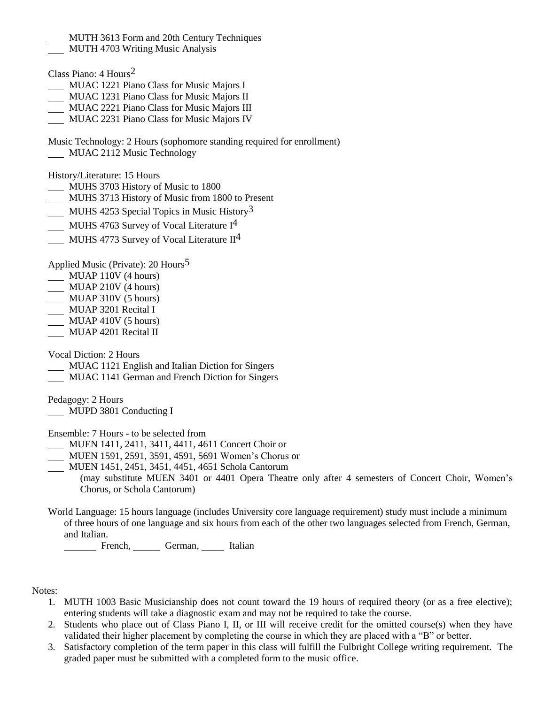- MUTH 3613 Form and 20th Century Techniques
- **MUTH 4703 Writing Music Analysis**
- Class Piano: 4 Hours2
- MUAC 1221 Piano Class for Music Majors I
- MUAC 1231 Piano Class for Music Majors II
- MUAC 2221 Piano Class for Music Majors III
- MUAC 2231 Piano Class for Music Majors IV
- Music Technology: 2 Hours (sophomore standing required for enrollment) MUAC 2112 Music Technology

History/Literature: 15 Hours

- MUHS 3703 History of Music to 1800
- MUHS 3713 History of Music from 1800 to Present
- MUHS 4253 Special Topics in Music History<sup>3</sup>
- MUHS 4763 Survey of Vocal Literature I<sup>4</sup>
- MUHS 4773 Survey of Vocal Literature  $II<sup>4</sup>$

Applied Music (Private): 20 Hours5

- MUAP 110V (4 hours)
- MUAP 210V (4 hours)
- MUAP 310V (5 hours)
- \_\_\_ MUAP 3201 Recital I
- $\underline{\hspace{1cm}}$  MUAP 410V (5 hours)
- MUAP 4201 Recital II

Vocal Diction: 2 Hours

- MUAC 1121 English and Italian Diction for Singers
- MUAC 1141 German and French Diction for Singers

Pedagogy: 2 Hours

**MUPD 3801 Conducting I** 

Ensemble: 7 Hours - to be selected from

- MUEN 1411, 2411, 3411, 4411, 4611 Concert Choir or
- MUEN 1591, 2591, 3591, 4591, 5691 Women's Chorus or
- MUEN 1451, 2451, 3451, 4451, 4651 Schola Cantorum

(may substitute MUEN 3401 or 4401 Opera Theatre only after 4 semesters of Concert Choir, Women's Chorus, or Schola Cantorum)

World Language: 15 hours language (includes University core language requirement) study must include a minimum of three hours of one language and six hours from each of the other two languages selected from French, German, and Italian.

French, German, Italian

Notes:

- 1. MUTH 1003 Basic Musicianship does not count toward the 19 hours of required theory (or as a free elective); entering students will take a diagnostic exam and may not be required to take the course.
- 2. Students who place out of Class Piano I, II, or III will receive credit for the omitted course(s) when they have validated their higher placement by completing the course in which they are placed with a "B" or better.
- 3. Satisfactory completion of the term paper in this class will fulfill the Fulbright College writing requirement. The graded paper must be submitted with a completed form to the music office.